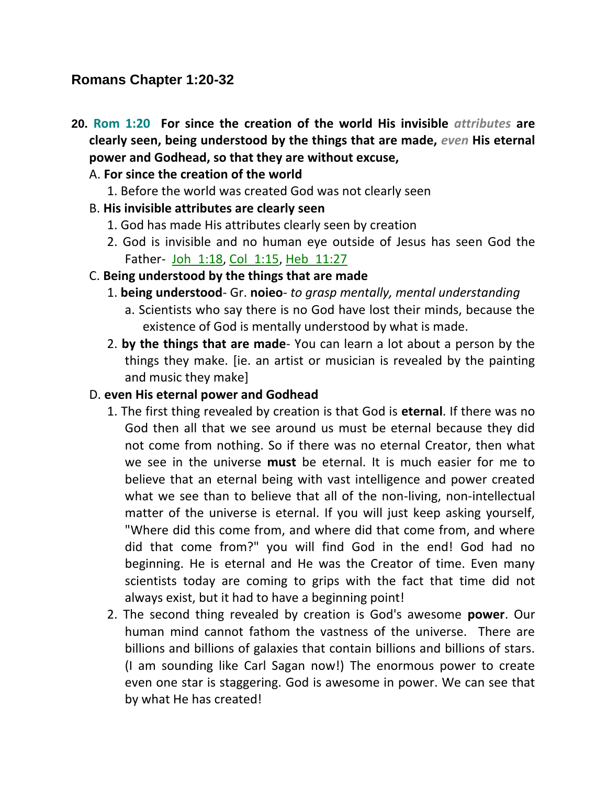# **Romans Chapter 1:20-32**

- **20. Rom 1:20 For since the creation of the world His invisible** *attributes* **are clearly seen, being understood by the things that are made,** *even* **His eternal power and Godhead, so that they are without excuse,**
	- A. **For since the creation of the world**
		- 1. Before the world was created God was not clearly seen
	- B. **His invisible attributes are clearly seen**
		- 1. God has made His attributes clearly seen by creation
		- 2. God is invisible and no human eye outside of Jesus has seen God the Father- Joh\_1:18, Col\_1:15, Heb\_11:27
	- C. **Being understood by the things that are made**
		- 1. **being understood** Gr. **noieo***- to grasp mentally, mental understanding*
			- a. Scientists who say there is no God have lost their minds, because the existence of God is mentally understood by what is made.
		- 2. **by the things that are made** You can learn a lot about a person by the things they make. [ie. an artist or musician is revealed by the painting and music they make]

## D. **even His eternal power and Godhead**

- 1. The first thing revealed by creation is that God is **eternal**. If there was no God then all that we see around us must be eternal because they did not come from nothing. So if there was no eternal Creator, then what we see in the universe **must** be eternal. It is much easier for me to believe that an eternal being with vast intelligence and power created what we see than to believe that all of the non-living, non-intellectual matter of the universe is eternal. If you will just keep asking yourself, "Where did this come from, and where did that come from, and where did that come from?" you will find God in the end! God had no beginning. He is eternal and He was the Creator of time. Even many scientists today are coming to grips with the fact that time did not always exist, but it had to have a beginning point!
- 2. The second thing revealed by creation is God's awesome **power**. Our human mind cannot fathom the vastness of the universe. There are billions and billions of galaxies that contain billions and billions of stars. (I am sounding like Carl Sagan now!) The enormous power to create even one star is staggering. God is awesome in power. We can see that by what He has created!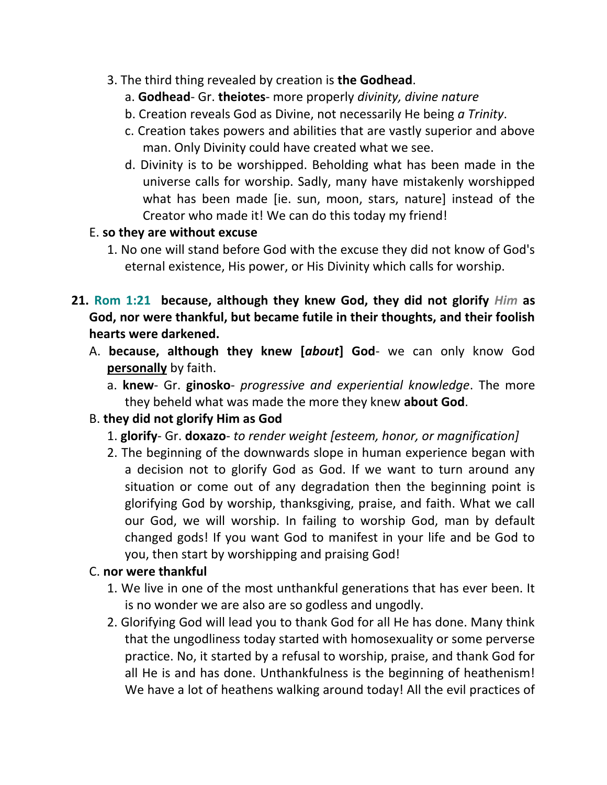- 3. The third thing revealed by creation is **the Godhead**.
	- a. **Godhead** Gr. **theiotes** more properly *divinity, divine nature*
	- b. Creation reveals God as Divine, not necessarily He being *a Trinity*.
	- c. Creation takes powers and abilities that are vastly superior and above man. Only Divinity could have created what we see.
	- d. Divinity is to be worshipped. Beholding what has been made in the universe calls for worship. Sadly, many have mistakenly worshipped what has been made [ie. sun, moon, stars, nature] instead of the Creator who made it! We can do this today my friend!

# E. **so they are without excuse**

- 1. No one will stand before God with the excuse they did not know of God's eternal existence, His power, or His Divinity which calls for worship.
- **21. Rom 1:21 because, although they knew God, they did not glorify** *Him* **as God, nor were thankful, but became futile in their thoughts, and their foolish hearts were darkened.** 
	- A. **because, although they knew [***about***] God** we can only know God **personally** by faith.
		- a. **knew** Gr. **ginosko** *progressive and experiential knowledge*. The more they beheld what was made the more they knew **about God**.

# B. **they did not glorify Him as God**

- 1. **glorify** Gr. **doxazo** *to render weight [esteem, honor, or magnification]*
- 2. The beginning of the downwards slope in human experience began with a decision not to glorify God as God. If we want to turn around any situation or come out of any degradation then the beginning point is glorifying God by worship, thanksgiving, praise, and faith. What we call our God, we will worship. In failing to worship God, man by default changed gods! If you want God to manifest in your life and be God to you, then start by worshipping and praising God!

# C. **nor were thankful**

- 1. We live in one of the most unthankful generations that has ever been. It is no wonder we are also are so godless and ungodly.
- 2. Glorifying God will lead you to thank God for all He has done. Many think that the ungodliness today started with homosexuality or some perverse practice. No, it started by a refusal to worship, praise, and thank God for all He is and has done. Unthankfulness is the beginning of heathenism! We have a lot of heathens walking around today! All the evil practices of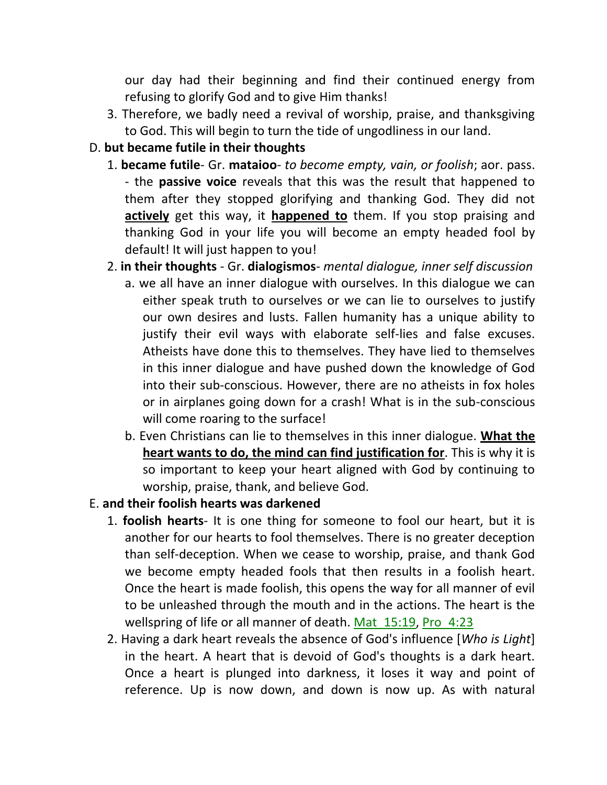our day had their beginning and find their continued energy from refusing to glorify God and to give Him thanks!

3. Therefore, we badly need a revival of worship, praise, and thanksgiving to God. This will begin to turn the tide of ungodliness in our land.

## D. **but became futile in their thoughts**

- 1. **became futile** Gr. **mataioo** *to become empty, vain, or foolish*; aor. pass. - the **passive voice** reveals that this was the result that happened to them after they stopped glorifying and thanking God. They did not **actively** get this way, it **happened to** them. If you stop praising and thanking God in your life you will become an empty headed fool by default! It will just happen to you!
- 2. **in their thoughts** Gr. **dialogismos** *mental dialogue, inner self discussion* a. we all have an inner dialogue with ourselves. In this dialogue we can either speak truth to ourselves or we can lie to ourselves to justify our own desires and lusts. Fallen humanity has a unique ability to justify their evil ways with elaborate self-lies and false excuses. Atheists have done this to themselves. They have lied to themselves in this inner dialogue and have pushed down the knowledge of God into their sub-conscious. However, there are no atheists in fox holes or in airplanes going down for a crash! What is in the sub-conscious will come roaring to the surface!
	- b. Even Christians can lie to themselves in this inner dialogue. **What the heart wants to do, the mind can find justification for**. This is why it is so important to keep your heart aligned with God by continuing to worship, praise, thank, and believe God.

# E. **and their foolish hearts was darkened**

- 1. **foolish hearts** It is one thing for someone to fool our heart, but it is another for our hearts to fool themselves. There is no greater deception than self-deception. When we cease to worship, praise, and thank God we become empty headed fools that then results in a foolish heart. Once the heart is made foolish, this opens the way for all manner of evil to be unleashed through the mouth and in the actions. The heart is the wellspring of life or all manner of death. Mat 15:19, Pro 4:23
- 2. Having a dark heart reveals the absence of God's influence [*Who is Light*] in the heart. A heart that is devoid of God's thoughts is a dark heart. Once a heart is plunged into darkness, it loses it way and point of reference. Up is now down, and down is now up. As with natural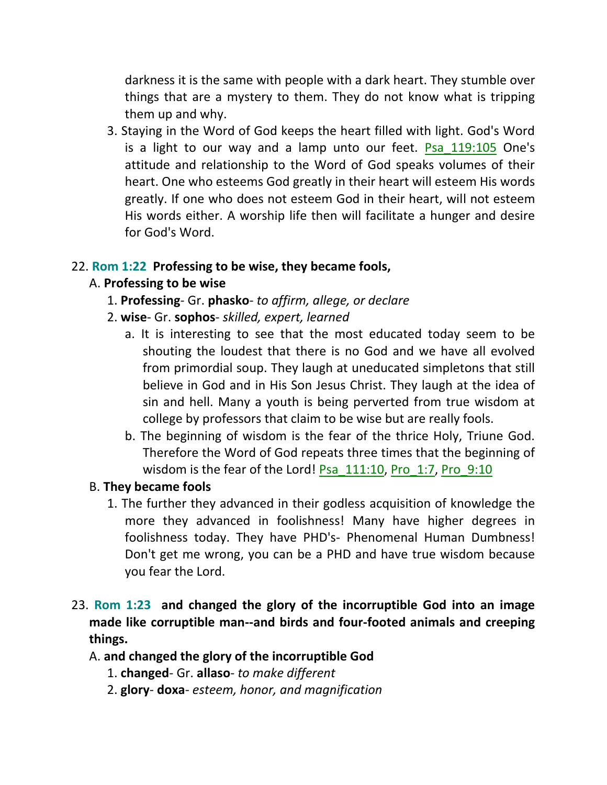darkness it is the same with people with a dark heart. They stumble over things that are a mystery to them. They do not know what is tripping them up and why.

3. Staying in the Word of God keeps the heart filled with light. God's Word is a light to our way and a lamp unto our feet. Psa 119:105 One's attitude and relationship to the Word of God speaks volumes of their heart. One who esteems God greatly in their heart will esteem His words greatly. If one who does not esteem God in their heart, will not esteem His words either. A worship life then will facilitate a hunger and desire for God's Word.

## 22. **Rom 1:22 Professing to be wise, they became fools,**

# A. **Professing to be wise**

- 1. **Professing** Gr. **phasko** *to affirm, allege, or declare*
- 2. **wise** Gr. **sophos** *skilled, expert, learned*
	- a. It is interesting to see that the most educated today seem to be shouting the loudest that there is no God and we have all evolved from primordial soup. They laugh at uneducated simpletons that still believe in God and in His Son Jesus Christ. They laugh at the idea of sin and hell. Many a youth is being perverted from true wisdom at college by professors that claim to be wise but are really fools.
	- b. The beginning of wisdom is the fear of the thrice Holy, Triune God. Therefore the Word of God repeats three times that the beginning of wisdom is the fear of the Lord! Psa\_111:10, Pro\_1:7, Pro\_9:10

#### B. **They became fools**

- 1. The further they advanced in their godless acquisition of knowledge the more they advanced in foolishness! Many have higher degrees in foolishness today. They have PHD's- Phenomenal Human Dumbness! Don't get me wrong, you can be a PHD and have true wisdom because you fear the Lord.
- 23. **Rom 1:23 and changed the glory of the incorruptible God into an image made like corruptible man--and birds and four-footed animals and creeping things.**
	- A. **and changed the glory of the incorruptible God**
		- 1. **changed** Gr. **allaso** *to make different*
		- 2. **glory doxa** *esteem, honor, and magnification*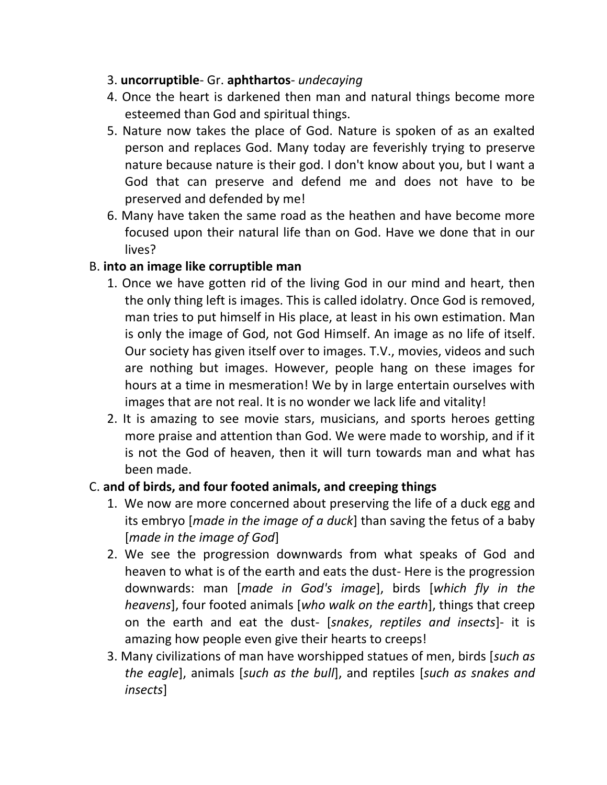#### 3. **uncorruptible**- Gr. **aphthartos**- *undecaying*

- 4. Once the heart is darkened then man and natural things become more esteemed than God and spiritual things.
- 5. Nature now takes the place of God. Nature is spoken of as an exalted person and replaces God. Many today are feverishly trying to preserve nature because nature is their god. I don't know about you, but I want a God that can preserve and defend me and does not have to be preserved and defended by me!
- 6. Many have taken the same road as the heathen and have become more focused upon their natural life than on God. Have we done that in our lives?

## B. **into an image like corruptible man**

- 1. Once we have gotten rid of the living God in our mind and heart, then the only thing left is images. This is called idolatry. Once God is removed, man tries to put himself in His place, at least in his own estimation. Man is only the image of God, not God Himself. An image as no life of itself. Our society has given itself over to images. T.V., movies, videos and such are nothing but images. However, people hang on these images for hours at a time in mesmeration! We by in large entertain ourselves with images that are not real. It is no wonder we lack life and vitality!
- 2. It is amazing to see movie stars, musicians, and sports heroes getting more praise and attention than God. We were made to worship, and if it is not the God of heaven, then it will turn towards man and what has been made.

#### C. **and of birds, and four footed animals, and creeping things**

- 1. We now are more concerned about preserving the life of a duck egg and its embryo [*made in the image of a duck*] than saving the fetus of a baby [*made in the image of God*]
- 2. We see the progression downwards from what speaks of God and heaven to what is of the earth and eats the dust- Here is the progression downwards: man [*made in God's image*], birds [*which fly in the heavens*], four footed animals [*who walk on the earth*], things that creep on the earth and eat the dust- [*snakes*, *reptiles and insects*]- it is amazing how people even give their hearts to creeps!
- 3. Many civilizations of man have worshipped statues of men, birds [*such as the eagle*], animals [*such as the bull*], and reptiles [*such as snakes and insects*]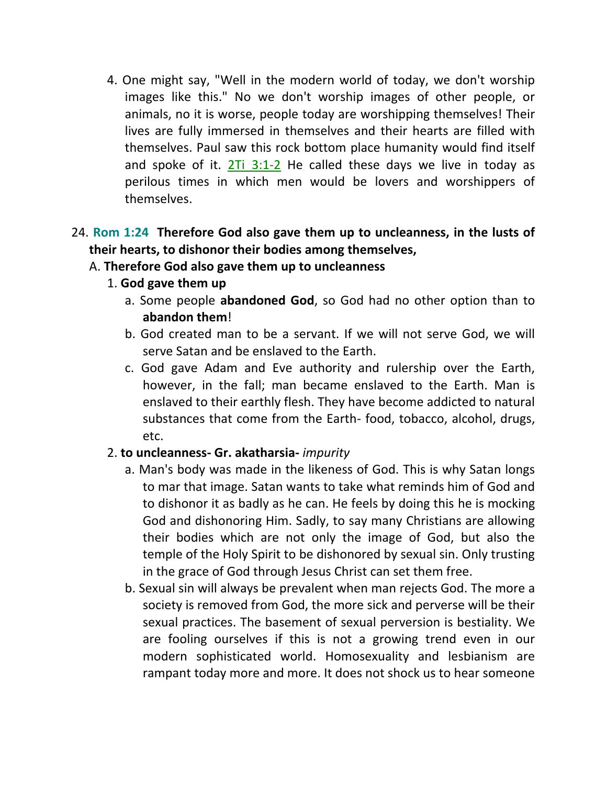4. One might say, "Well in the modern world of today, we don't worship images like this." No we don't worship images of other people, or animals, no it is worse, people today are worshipping themselves! Their lives are fully immersed in themselves and their hearts are filled with themselves. Paul saw this rock bottom place humanity would find itself and spoke of it.  $2Ti$  3:1-2 He called these days we live in today as perilous times in which men would be lovers and worshippers of themselves.

# 24. **Rom 1:24 Therefore God also gave them up to uncleanness, in the lusts of their hearts, to dishonor their bodies among themselves,**

## A. **Therefore God also gave them up to uncleanness**

- 1. **God gave them up**
	- a. Some people **abandoned God**, so God had no other option than to **abandon them**!
	- b. God created man to be a servant. If we will not serve God, we will serve Satan and be enslaved to the Earth.
	- c. God gave Adam and Eve authority and rulership over the Earth, however, in the fall; man became enslaved to the Earth. Man is enslaved to their earthly flesh. They have become addicted to natural substances that come from the Earth- food, tobacco, alcohol, drugs, etc.

#### 2. **to uncleanness- Gr. akatharsia-** *impurity*

- a. Man's body was made in the likeness of God. This is why Satan longs to mar that image. Satan wants to take what reminds him of God and to dishonor it as badly as he can. He feels by doing this he is mocking God and dishonoring Him. Sadly, to say many Christians are allowing their bodies which are not only the image of God, but also the temple of the Holy Spirit to be dishonored by sexual sin. Only trusting in the grace of God through Jesus Christ can set them free.
- b. Sexual sin will always be prevalent when man rejects God. The more a society is removed from God, the more sick and perverse will be their sexual practices. The basement of sexual perversion is bestiality. We are fooling ourselves if this is not a growing trend even in our modern sophisticated world. Homosexuality and lesbianism are rampant today more and more. It does not shock us to hear someone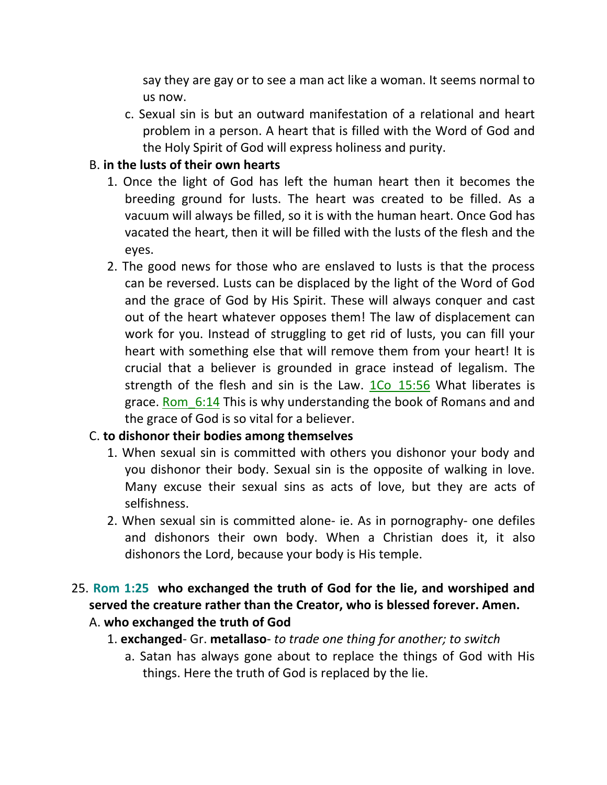say they are gay or to see a man act like a woman. It seems normal to us now.

c. Sexual sin is but an outward manifestation of a relational and heart problem in a person. A heart that is filled with the Word of God and the Holy Spirit of God will express holiness and purity.

## B. **in the lusts of their own hearts**

- 1. Once the light of God has left the human heart then it becomes the breeding ground for lusts. The heart was created to be filled. As a vacuum will always be filled, so it is with the human heart. Once God has vacated the heart, then it will be filled with the lusts of the flesh and the eyes.
- 2. The good news for those who are enslaved to lusts is that the process can be reversed. Lusts can be displaced by the light of the Word of God and the grace of God by His Spirit. These will always conquer and cast out of the heart whatever opposes them! The law of displacement can work for you. Instead of struggling to get rid of lusts, you can fill your heart with something else that will remove them from your heart! It is crucial that a believer is grounded in grace instead of legalism. The strength of the flesh and sin is the Law. 1Co 15:56 What liberates is grace. Rom 6:14 This is why understanding the book of Romans and and the grace of God is so vital for a believer.

#### C. **to dishonor their bodies among themselves**

- 1. When sexual sin is committed with others you dishonor your body and you dishonor their body. Sexual sin is the opposite of walking in love. Many excuse their sexual sins as acts of love, but they are acts of selfishness.
- 2. When sexual sin is committed alone- ie. As in pornography- one defiles and dishonors their own body. When a Christian does it, it also dishonors the Lord, because your body is His temple.

## 25. **Rom 1:25 who exchanged the truth of God for the lie, and worshiped and served the creature rather than the Creator, who is blessed forever. Amen.**  A. **who exchanged the truth of God**

- 1. **exchanged** Gr. **metallaso** *to trade one thing for another; to switch*
	- a. Satan has always gone about to replace the things of God with His things. Here the truth of God is replaced by the lie.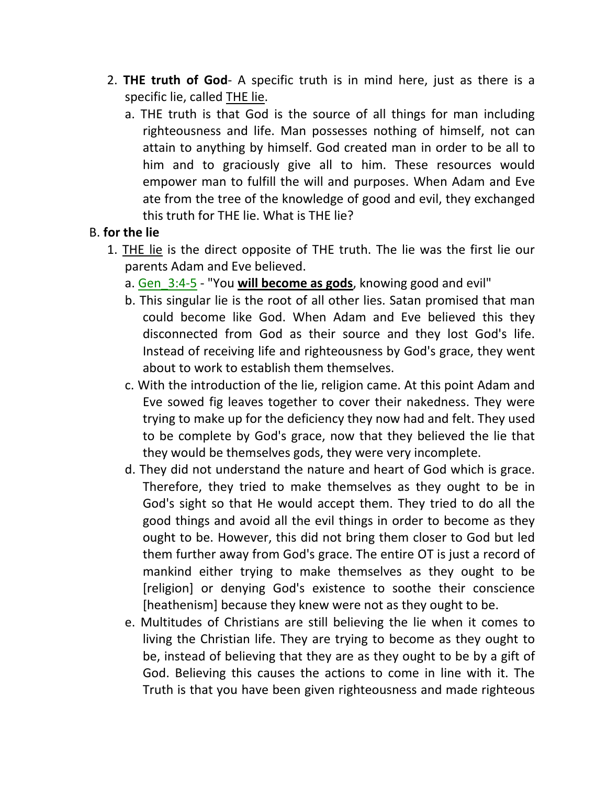- 2. **THE truth of God** A specific truth is in mind here, just as there is a specific lie, called THE lie.
	- a. THE truth is that God is the source of all things for man including righteousness and life. Man possesses nothing of himself, not can attain to anything by himself. God created man in order to be all to him and to graciously give all to him. These resources would empower man to fulfill the will and purposes. When Adam and Eve ate from the tree of the knowledge of good and evil, they exchanged this truth for THE lie. What is THE lie?

## B. **for the lie**

- 1. THE lie is the direct opposite of THE truth. The lie was the first lie our parents Adam and Eve believed.
	- a. Gen\_3:4-5 "You **will become as gods**, knowing good and evil"
	- b. This singular lie is the root of all other lies. Satan promised that man could become like God. When Adam and Eve believed this they disconnected from God as their source and they lost God's life. Instead of receiving life and righteousness by God's grace, they went about to work to establish them themselves.
	- c. With the introduction of the lie, religion came. At this point Adam and Eve sowed fig leaves together to cover their nakedness. They were trying to make up for the deficiency they now had and felt. They used to be complete by God's grace, now that they believed the lie that they would be themselves gods, they were very incomplete.
	- d. They did not understand the nature and heart of God which is grace. Therefore, they tried to make themselves as they ought to be in God's sight so that He would accept them. They tried to do all the good things and avoid all the evil things in order to become as they ought to be. However, this did not bring them closer to God but led them further away from God's grace. The entire OT is just a record of mankind either trying to make themselves as they ought to be [religion] or denying God's existence to soothe their conscience [heathenism] because they knew were not as they ought to be.
	- e. Multitudes of Christians are still believing the lie when it comes to living the Christian life. They are trying to become as they ought to be, instead of believing that they are as they ought to be by a gift of God. Believing this causes the actions to come in line with it. The Truth is that you have been given righteousness and made righteous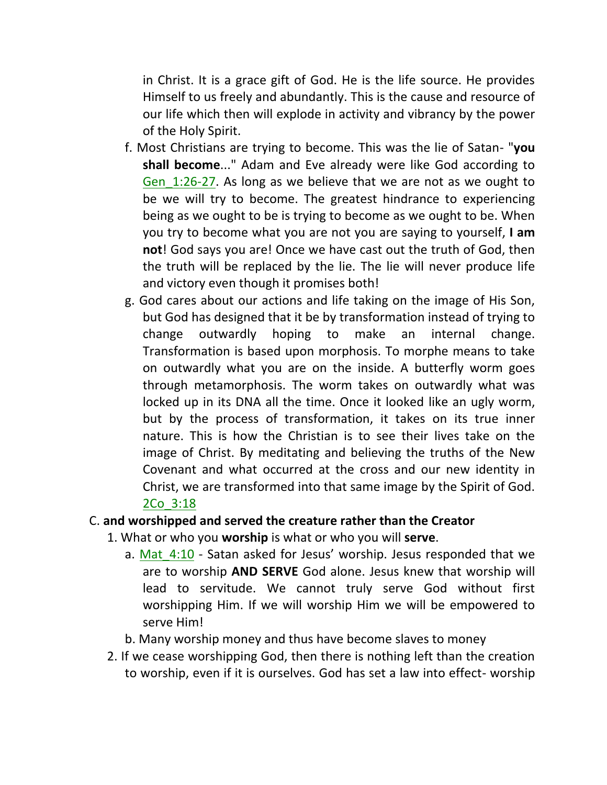in Christ. It is a grace gift of God. He is the life source. He provides Himself to us freely and abundantly. This is the cause and resource of our life which then will explode in activity and vibrancy by the power of the Holy Spirit.

- f. Most Christians are trying to become. This was the lie of Satan- "**you shall become**..." Adam and Eve already were like God according to Gen 1:26-27. As long as we believe that we are not as we ought to be we will try to become. The greatest hindrance to experiencing being as we ought to be is trying to become as we ought to be. When you try to become what you are not you are saying to yourself, **I am not**! God says you are! Once we have cast out the truth of God, then the truth will be replaced by the lie. The lie will never produce life and victory even though it promises both!
- g. God cares about our actions and life taking on the image of His Son, but God has designed that it be by transformation instead of trying to change outwardly hoping to make an internal change. Transformation is based upon morphosis. To morphe means to take on outwardly what you are on the inside. A butterfly worm goes through metamorphosis. The worm takes on outwardly what was locked up in its DNA all the time. Once it looked like an ugly worm, but by the process of transformation, it takes on its true inner nature. This is how the Christian is to see their lives take on the image of Christ. By meditating and believing the truths of the New Covenant and what occurred at the cross and our new identity in Christ, we are transformed into that same image by the Spirit of God. 2Co\_3:18

#### C. **and worshipped and served the creature rather than the Creator**

- 1. What or who you **worship** is what or who you will **serve**.
	- a. Mat  $4:10$  Satan asked for Jesus' worship. Jesus responded that we are to worship **AND SERVE** God alone. Jesus knew that worship will lead to servitude. We cannot truly serve God without first worshipping Him. If we will worship Him we will be empowered to serve Him!
	- b. Many worship money and thus have become slaves to money
- 2. If we cease worshipping God, then there is nothing left than the creation to worship, even if it is ourselves. God has set a law into effect- worship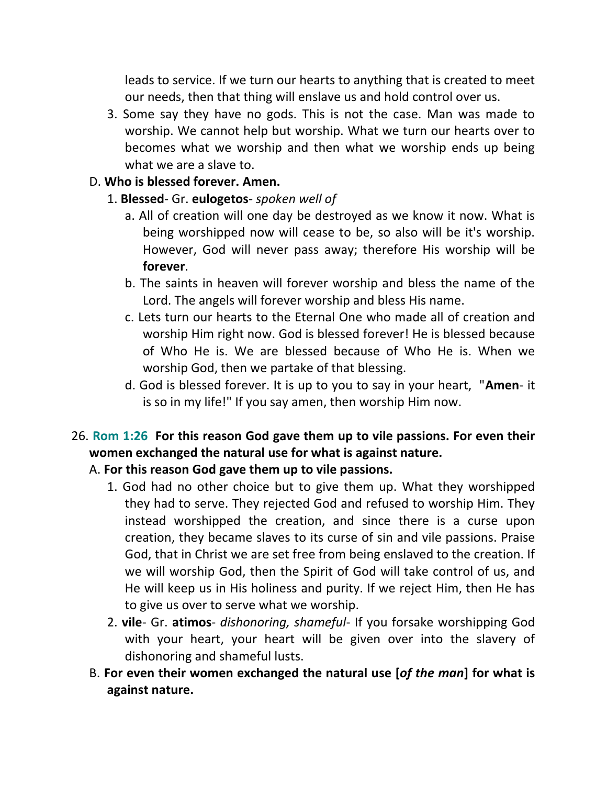leads to service. If we turn our hearts to anything that is created to meet our needs, then that thing will enslave us and hold control over us.

3. Some say they have no gods. This is not the case. Man was made to worship. We cannot help but worship. What we turn our hearts over to becomes what we worship and then what we worship ends up being what we are a slave to.

## D. **Who is blessed forever. Amen.**

- 1. **Blessed** Gr. **eulogetos** *spoken well of*
	- a. All of creation will one day be destroyed as we know it now. What is being worshipped now will cease to be, so also will be it's worship. However, God will never pass away; therefore His worship will be **forever**.
	- b. The saints in heaven will forever worship and bless the name of the Lord. The angels will forever worship and bless His name.
	- c. Lets turn our hearts to the Eternal One who made all of creation and worship Him right now. God is blessed forever! He is blessed because of Who He is. We are blessed because of Who He is. When we worship God, then we partake of that blessing.
	- d. God is blessed forever. It is up to you to say in your heart, "**Amen** it is so in my life!" If you say amen, then worship Him now.
- 26. **Rom 1:26 For this reason God gave them up to vile passions. For even their women exchanged the natural use for what is against nature.** 
	- A. **For this reason God gave them up to vile passions.**
		- 1. God had no other choice but to give them up. What they worshipped they had to serve. They rejected God and refused to worship Him. They instead worshipped the creation, and since there is a curse upon creation, they became slaves to its curse of sin and vile passions. Praise God, that in Christ we are set free from being enslaved to the creation. If we will worship God, then the Spirit of God will take control of us, and He will keep us in His holiness and purity. If we reject Him, then He has to give us over to serve what we worship.
		- 2. **vile** Gr. **atimos** *dishonoring, shameful* If you forsake worshipping God with your heart, your heart will be given over into the slavery of dishonoring and shameful lusts.
	- B. **For even their women exchanged the natural use [***of the man***] for what is against nature.**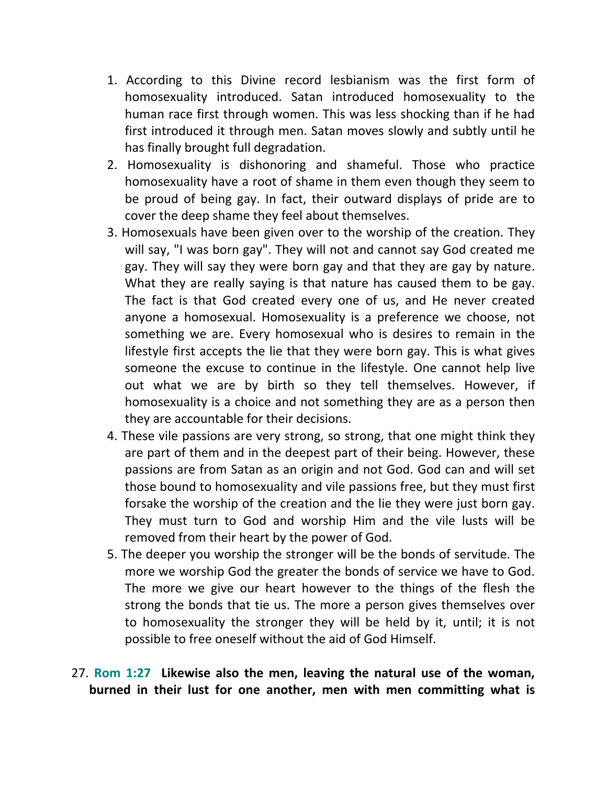- 1. According to this Divine record lesbianism was the first form of homosexuality introduced. Satan introduced homosexuality to the human race first through women. This was less shocking than if he had first introduced it through men. Satan moves slowly and subtly until he has finally brought full degradation.
- 2. Homosexuality is dishonoring and shameful. Those who practice homosexuality have a root of shame in them even though they seem to be proud of being gay. In fact, their outward displays of pride are to cover the deep shame they feel about themselves.
- 3. Homosexuals have been given over to the worship of the creation. They will say, "I was born gay". They will not and cannot say God created me gay. They will say they were born gay and that they are gay by nature. What they are really saying is that nature has caused them to be gay. The fact is that God created every one of us, and He never created anyone a homosexual. Homosexuality is a preference we choose, not something we are. Every homosexual who is desires to remain in the lifestyle first accepts the lie that they were born gay. This is what gives someone the excuse to continue in the lifestyle. One cannot help live out what we are by birth so they tell themselves. However, if homosexuality is a choice and not something they are as a person then they are accountable for their decisions.
- 4. These vile passions are very strong, so strong, that one might think they are part of them and in the deepest part of their being. However, these passions are from Satan as an origin and not God. God can and will set those bound to homosexuality and vile passions free, but they must first forsake the worship of the creation and the lie they were just born gay. They must turn to God and worship Him and the vile lusts will be removed from their heart by the power of God.
- 5. The deeper you worship the stronger will be the bonds of servitude. The more we worship God the greater the bonds of service we have to God. The more we give our heart however to the things of the flesh the strong the bonds that tie us. The more a person gives themselves over to homosexuality the stronger they will be held by it, until; it is not possible to free oneself without the aid of God Himself.
- 27. **Rom 1:27 Likewise also the men, leaving the natural use of the woman, burned in their lust for one another, men with men committing what is**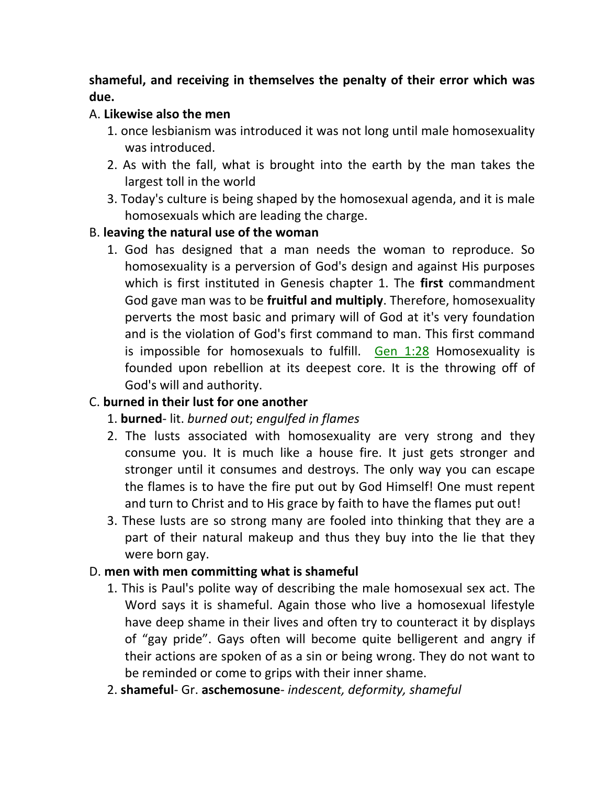# **shameful, and receiving in themselves the penalty of their error which was due.**

## A. **Likewise also the men**

- 1. once lesbianism was introduced it was not long until male homosexuality was introduced.
- 2. As with the fall, what is brought into the earth by the man takes the largest toll in the world
- 3. Today's culture is being shaped by the homosexual agenda, and it is male homosexuals which are leading the charge.

# B. **leaving the natural use of the woman**

1. God has designed that a man needs the woman to reproduce. So homosexuality is a perversion of God's design and against His purposes which is first instituted in Genesis chapter 1. The **first** commandment God gave man was to be **fruitful and multiply**. Therefore, homosexuality perverts the most basic and primary will of God at it's very foundation and is the violation of God's first command to man. This first command is impossible for homosexuals to fulfill. Gen 1:28 Homosexuality is founded upon rebellion at its deepest core. It is the throwing off of God's will and authority.

# C. **burned in their lust for one another**

- 1. **burned** lit. *burned out*; *engulfed in flames*
- 2. The lusts associated with homosexuality are very strong and they consume you. It is much like a house fire. It just gets stronger and stronger until it consumes and destroys. The only way you can escape the flames is to have the fire put out by God Himself! One must repent and turn to Christ and to His grace by faith to have the flames put out!
- 3. These lusts are so strong many are fooled into thinking that they are a part of their natural makeup and thus they buy into the lie that they were born gay.

# D. **men with men committing what is shameful**

- 1. This is Paul's polite way of describing the male homosexual sex act. The Word says it is shameful. Again those who live a homosexual lifestyle have deep shame in their lives and often try to counteract it by displays of "gay pride". Gays often will become quite belligerent and angry if their actions are spoken of as a sin or being wrong. They do not want to be reminded or come to grips with their inner shame.
- 2. **shameful** Gr. **aschemosune** *indescent, deformity, shameful*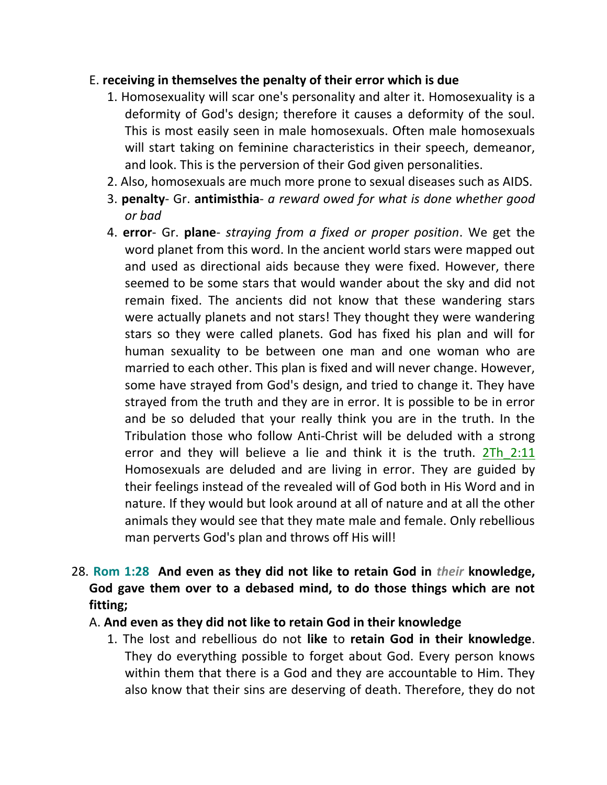## E. **receiving in themselves the penalty of their error which is due**

- 1. Homosexuality will scar one's personality and alter it. Homosexuality is a deformity of God's design; therefore it causes a deformity of the soul. This is most easily seen in male homosexuals. Often male homosexuals will start taking on feminine characteristics in their speech, demeanor, and look. This is the perversion of their God given personalities.
- 2. Also, homosexuals are much more prone to sexual diseases such as AIDS.
- 3. **penalty** Gr. **antimisthia** *a reward owed for what is done whether good or bad*
- 4. **error** Gr. **plane** *straying from a fixed or proper position*. We get the word planet from this word. In the ancient world stars were mapped out and used as directional aids because they were fixed. However, there seemed to be some stars that would wander about the sky and did not remain fixed. The ancients did not know that these wandering stars were actually planets and not stars! They thought they were wandering stars so they were called planets. God has fixed his plan and will for human sexuality to be between one man and one woman who are married to each other. This plan is fixed and will never change. However, some have strayed from God's design, and tried to change it. They have strayed from the truth and they are in error. It is possible to be in error and be so deluded that your really think you are in the truth. In the Tribulation those who follow Anti-Christ will be deluded with a strong error and they will believe a lie and think it is the truth.  $2Th$   $2:11$ Homosexuals are deluded and are living in error. They are guided by their feelings instead of the revealed will of God both in His Word and in nature. If they would but look around at all of nature and at all the other animals they would see that they mate male and female. Only rebellious man perverts God's plan and throws off His will!
- 28. **Rom 1:28 And even as they did not like to retain God in** *their* **knowledge, God gave them over to a debased mind, to do those things which are not fitting;**

#### A. **And even as they did not like to retain God in their knowledge**

1. The lost and rebellious do not **like** to **retain God in their knowledge**. They do everything possible to forget about God. Every person knows within them that there is a God and they are accountable to Him. They also know that their sins are deserving of death. Therefore, they do not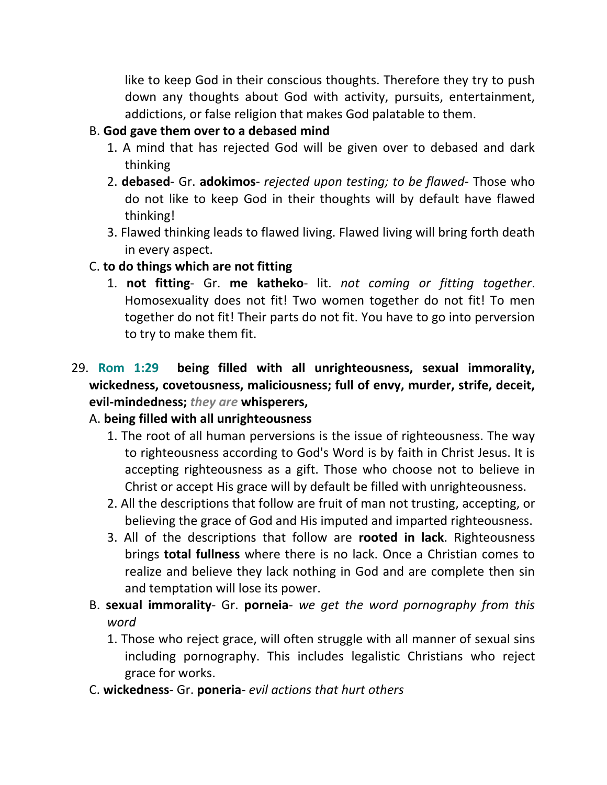like to keep God in their conscious thoughts. Therefore they try to push down any thoughts about God with activity, pursuits, entertainment, addictions, or false religion that makes God palatable to them.

# B. **God gave them over to a debased mind**

- 1. A mind that has rejected God will be given over to debased and dark thinking
- 2. **debased** Gr. **adokimos** *rejected upon testing; to be flawed-* Those who do not like to keep God in their thoughts will by default have flawed thinking!
- 3. Flawed thinking leads to flawed living. Flawed living will bring forth death in every aspect.
- C. **to do things which are not fitting**
	- 1. **not fitting** Gr. **me katheko** lit. *not coming or fitting together*. Homosexuality does not fit! Two women together do not fit! To men together do not fit! Their parts do not fit. You have to go into perversion to try to make them fit.

# 29. **Rom 1:29 being filled with all unrighteousness, sexual immorality, wickedness, covetousness, maliciousness; full of envy, murder, strife, deceit, evil-mindedness;** *they are* **whisperers,**

# A. **being filled with all unrighteousness**

- 1. The root of all human perversions is the issue of righteousness. The way to righteousness according to God's Word is by faith in Christ Jesus. It is accepting righteousness as a gift. Those who choose not to believe in Christ or accept His grace will by default be filled with unrighteousness.
- 2. All the descriptions that follow are fruit of man not trusting, accepting, or believing the grace of God and His imputed and imparted righteousness.
- 3. All of the descriptions that follow are **rooted in lack**. Righteousness brings **total fullness** where there is no lack. Once a Christian comes to realize and believe they lack nothing in God and are complete then sin and temptation will lose its power.
- B. **sexual immorality** Gr. **porneia** *we get the word pornography from this word*
	- 1. Those who reject grace, will often struggle with all manner of sexual sins including pornography. This includes legalistic Christians who reject grace for works.
- C. **wickedness** Gr. **poneria** *evil actions that hurt others*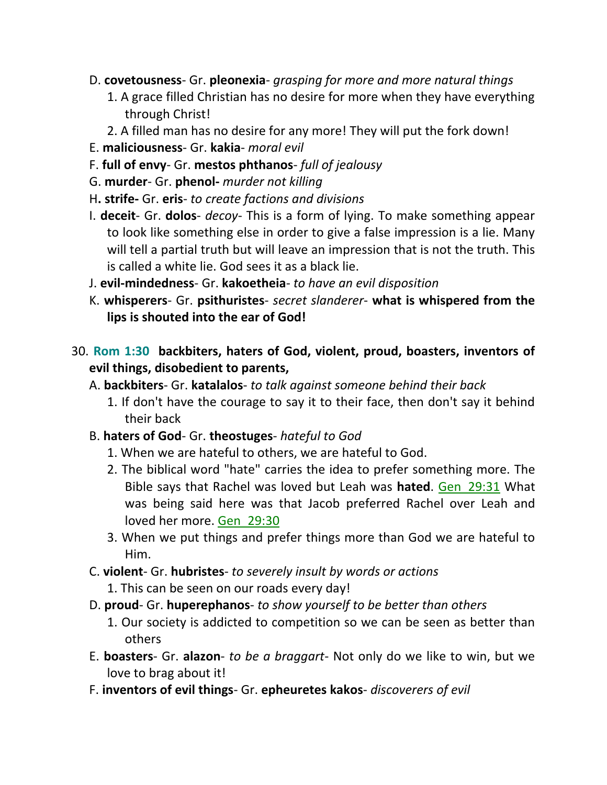- D. **covetousness** Gr. **pleonexia** *grasping for more and more natural things*
	- 1. A grace filled Christian has no desire for more when they have everything through Christ!
	- 2. A filled man has no desire for any more! They will put the fork down!
- E. **maliciousness** Gr. **kakia** *moral evil*
- F. **full of envy** Gr. **mestos phthanos** *full of jealousy*
- G. **murder** Gr. **phenol-** *murder not killing*
- H**. strife-** Gr. **eris** *to create factions and divisions*
- I. **deceit** Gr. **dolos** *decoy* This is a form of lying. To make something appear to look like something else in order to give a false impression is a lie. Many will tell a partial truth but will leave an impression that is not the truth. This is called a white lie. God sees it as a black lie.
- J. **evil-mindedness** Gr. **kakoetheia** *to have an evil disposition*
- K. **whisperers** Gr. **psithuristes** *secret slanderer* **what is whispered from the lips is shouted into the ear of God!**
- 30. **Rom 1:30 backbiters, haters of God, violent, proud, boasters, inventors of evil things, disobedient to parents,** 
	- A. **backbiters** Gr. **katalalos** *to talk against someone behind their back*
		- 1. If don't have the courage to say it to their face, then don't say it behind their back
	- B. **haters of God** Gr. **theostuges** *hateful to God*
		- 1. When we are hateful to others, we are hateful to God.
		- 2. The biblical word "hate" carries the idea to prefer something more. The Bible says that Rachel was loved but Leah was **hated**. Gen\_29:31 What was being said here was that Jacob preferred Rachel over Leah and loved her more. Gen 29:30
		- 3. When we put things and prefer things more than God we are hateful to Him.
	- C. **violent** Gr. **hubristes** *to severely insult by words or actions*
		- 1. This can be seen on our roads every day!
	- D. **proud** Gr. **huperephanos** *to show yourself to be better than others*
		- 1. Our society is addicted to competition so we can be seen as better than others
	- E. **boasters** Gr. **alazon** *to be a braggart* Not only do we like to win, but we love to brag about it!
	- F. **inventors of evil things** Gr. **epheuretes kakos** *discoverers of evil*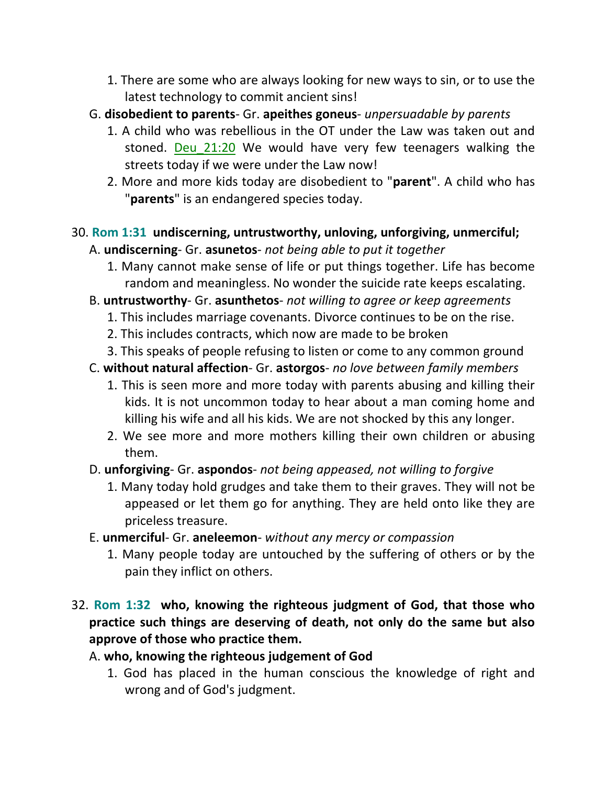- 1. There are some who are always looking for new ways to sin, or to use the latest technology to commit ancient sins!
- G. **disobedient to parents** Gr. **apeithes goneus** *unpersuadable by parents*
	- 1. A child who was rebellious in the OT under the Law was taken out and stoned. Deu 21:20 We would have very few teenagers walking the streets today if we were under the Law now!
	- 2. More and more kids today are disobedient to "**parent**". A child who has "**parents**" is an endangered species today.

## 30. **Rom 1:31 undiscerning, untrustworthy, unloving, unforgiving, unmerciful;**  A. **undiscerning**- Gr. **asunetos**- *not being able to put it together*

- 1. Many cannot make sense of life or put things together. Life has become random and meaningless. No wonder the suicide rate keeps escalating.
- B. **untrustworthy** Gr. **asunthetos** *not willing to agree or keep agreements*
	- 1. This includes marriage covenants. Divorce continues to be on the rise.
	- 2. This includes contracts, which now are made to be broken
	- 3. This speaks of people refusing to listen or come to any common ground
- C. **without natural affection** Gr. **astorgos** *no love between family members*
	- 1. This is seen more and more today with parents abusing and killing their kids. It is not uncommon today to hear about a man coming home and killing his wife and all his kids. We are not shocked by this any longer.
	- 2. We see more and more mothers killing their own children or abusing them.
- D. **unforgiving** Gr. **aspondos** *not being appeased, not willing to forgive*
	- 1. Many today hold grudges and take them to their graves. They will not be appeased or let them go for anything. They are held onto like they are priceless treasure.
- E. **unmerciful** Gr. **aneleemon** *without any mercy or compassion*
	- 1. Many people today are untouched by the suffering of others or by the pain they inflict on others.
- 32. **Rom 1:32 who, knowing the righteous judgment of God, that those who practice such things are deserving of death, not only do the same but also approve of those who practice them.** 
	- A. **who, knowing the righteous judgement of God**
		- 1. God has placed in the human conscious the knowledge of right and wrong and of God's judgment.